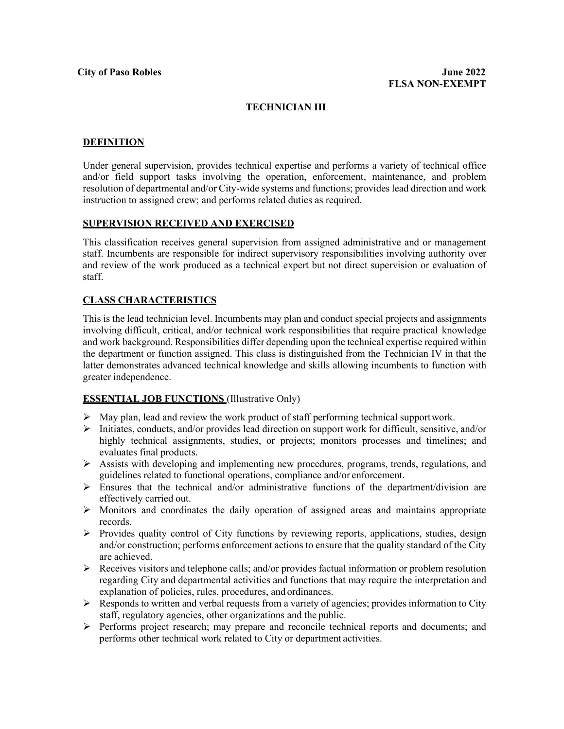## **TECHNICIAN III**

#### **DEFINITION**

Under general supervision, provides technical expertise and performs a variety of technical office and/or field support tasks involving the operation, enforcement, maintenance, and problem resolution of departmental and/or City-wide systems and functions; provides lead direction and work instruction to assigned crew; and performs related duties as required.

#### **SUPERVISION RECEIVED AND EXERCISED**

This classification receives general supervision from assigned administrative and or management staff. Incumbents are responsible for indirect supervisory responsibilities involving authority over and review of the work produced as a technical expert but not direct supervision or evaluation of staff.

## **CLASS CHARACTERISTICS**

This is the lead technician level. Incumbents may plan and conduct special projects and assignments involving difficult, critical, and/or technical work responsibilities that require practical knowledge and work background. Responsibilities differ depending upon the technical expertise required within the department or function assigned. This class is distinguished from the Technician IV in that the latter demonstrates advanced technical knowledge and skills allowing incumbents to function with greater independence.

## **ESSENTIAL JOB FUNCTIONS** (Illustrative Only)

- $\triangleright$  May plan, lead and review the work product of staff performing technical support work.
- Initiates, conducts, and/or provides lead direction on support work for difficult, sensitive, and/or highly technical assignments, studies, or projects; monitors processes and timelines; and evaluates final products.
- $\triangleright$  Assists with developing and implementing new procedures, programs, trends, regulations, and guidelines related to functional operations, compliance and/or enforcement.
- $\triangleright$  Ensures that the technical and/or administrative functions of the department/division are effectively carried out.
- $\triangleright$  Monitors and coordinates the daily operation of assigned areas and maintains appropriate records.
- $\triangleright$  Provides quality control of City functions by reviewing reports, applications, studies, design and/or construction; performs enforcement actions to ensure that the quality standard of the City are achieved.
- $\triangleright$  Receives visitors and telephone calls; and/or provides factual information or problem resolution regarding City and departmental activities and functions that may require the interpretation and explanation of policies, rules, procedures, and ordinances.
- $\triangleright$  Responds to written and verbal requests from a variety of agencies; provides information to City staff, regulatory agencies, other organizations and the public.
- Performs project research; may prepare and reconcile technical reports and documents; and performs other technical work related to City or department activities.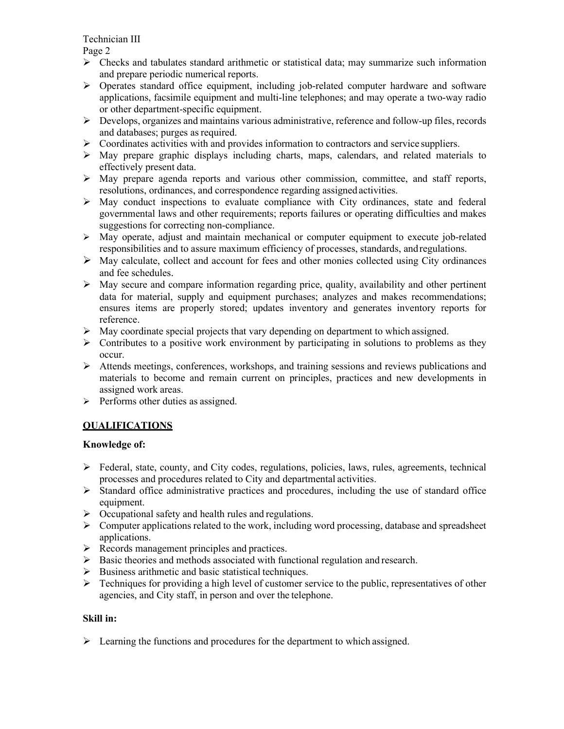Technician III

Page 2

- $\triangleright$  Checks and tabulates standard arithmetic or statistical data; may summarize such information and prepare periodic numerical reports.
- Operates standard office equipment, including job-related computer hardware and software applications, facsimile equipment and multi-line telephones; and may operate a two-way radio or other department-specific equipment.
- $\triangleright$  Develops, organizes and maintains various administrative, reference and follow-up files, records and databases; purges as required.
- $\triangleright$  Coordinates activities with and provides information to contractors and service suppliers.
- $\triangleright$  May prepare graphic displays including charts, maps, calendars, and related materials to effectively present data.
- $\triangleright$  May prepare agenda reports and various other commission, committee, and staff reports, resolutions, ordinances, and correspondence regarding assigned activities.
- $\triangleright$  May conduct inspections to evaluate compliance with City ordinances, state and federal governmental laws and other requirements; reports failures or operating difficulties and makes suggestions for correcting non-compliance.
- May operate, adjust and maintain mechanical or computer equipment to execute job-related responsibilities and to assure maximum efficiency of processes, standards, andregulations.
- $\triangleright$  May calculate, collect and account for fees and other monies collected using City ordinances and fee schedules.
- $\triangleright$  May secure and compare information regarding price, quality, availability and other pertinent data for material, supply and equipment purchases; analyzes and makes recommendations; ensures items are properly stored; updates inventory and generates inventory reports for reference.
- $\triangleright$  May coordinate special projects that vary depending on department to which assigned.
- $\triangleright$  Contributes to a positive work environment by participating in solutions to problems as they occur.
- $\triangleright$  Attends meetings, conferences, workshops, and training sessions and reviews publications and materials to become and remain current on principles, practices and new developments in assigned work areas.
- $\triangleright$  Performs other duties as assigned.

# **QUALIFICATIONS**

# **Knowledge of:**

- $\triangleright$  Federal, state, county, and City codes, regulations, policies, laws, rules, agreements, technical processes and procedures related to City and departmental activities.
- $\triangleright$  Standard office administrative practices and procedures, including the use of standard office equipment.
- $\triangleright$  Occupational safety and health rules and regulations.
- $\triangleright$  Computer applications related to the work, including word processing, database and spreadsheet applications.
- $\triangleright$  Records management principles and practices.
- $\triangleright$  Basic theories and methods associated with functional regulation and research.
- $\triangleright$  Business arithmetic and basic statistical techniques.
- $\triangleright$  Techniques for providing a high level of customer service to the public, representatives of other agencies, and City staff, in person and over the telephone.

# **Skill in:**

 $\triangleright$  Learning the functions and procedures for the department to which assigned.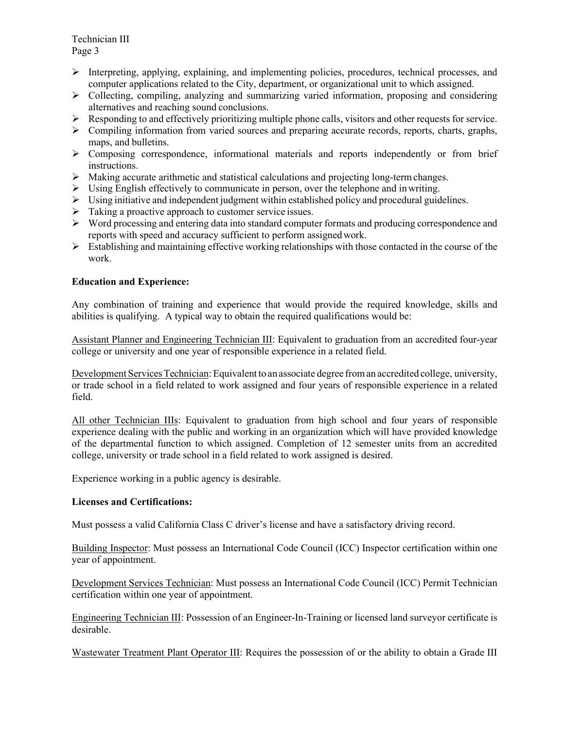Technician III Page 3

- $\triangleright$  Interpreting, applying, explaining, and implementing policies, procedures, technical processes, and computer applications related to the City, department, or organizational unit to which assigned.
- $\triangleright$  Collecting, compiling, analyzing and summarizing varied information, proposing and considering alternatives and reaching sound conclusions.
- $\triangleright$  Responding to and effectively prioritizing multiple phone calls, visitors and other requests for service.
- $\triangleright$  Compiling information from varied sources and preparing accurate records, reports, charts, graphs, maps, and bulletins.
- $\triangleright$  Composing correspondence, informational materials and reports independently or from brief instructions.
- $\triangleright$  Making accurate arithmetic and statistical calculations and projecting long-term changes.
- $\triangleright$  Using English effectively to communicate in person, over the telephone and in writing.
- $\triangleright$  Using initiative and independent judgment within established policy and procedural guidelines.
- $\triangleright$  Taking a proactive approach to customer service issues.
- Word processing and entering data into standard computer formats and producing correspondence and reports with speed and accuracy sufficient to perform assignedwork.
- $\triangleright$  Establishing and maintaining effective working relationships with those contacted in the course of the work.

#### **Education and Experience:**

Any combination of training and experience that would provide the required knowledge, skills and abilities is qualifying. A typical way to obtain the required qualifications would be:

Assistant Planner and Engineering Technician III: Equivalent to graduation from an accredited four-year college or university and one year of responsible experience in a related field.

Development Services Technician: Equivalent to an associate degree from an accredited college, university, or trade school in a field related to work assigned and four years of responsible experience in a related field.

All other Technician IIIs: Equivalent to graduation from high school and four years of responsible experience dealing with the public and working in an organization which will have provided knowledge of the departmental function to which assigned. Completion of 12 semester units from an accredited college, university or trade school in a field related to work assigned is desired.

Experience working in a public agency is desirable.

#### **Licenses and Certifications:**

Must possess a valid California Class C driver's license and have a satisfactory driving record.

Building Inspector: Must possess an International Code Council (ICC) Inspector certification within one year of appointment.

Development Services Technician: Must possess an International Code Council (ICC) Permit Technician certification within one year of appointment.

Engineering Technician III: Possession of an Engineer-In-Training or licensed land surveyor certificate is desirable.

Wastewater Treatment Plant Operator III: Requires the possession of or the ability to obtain a Grade III